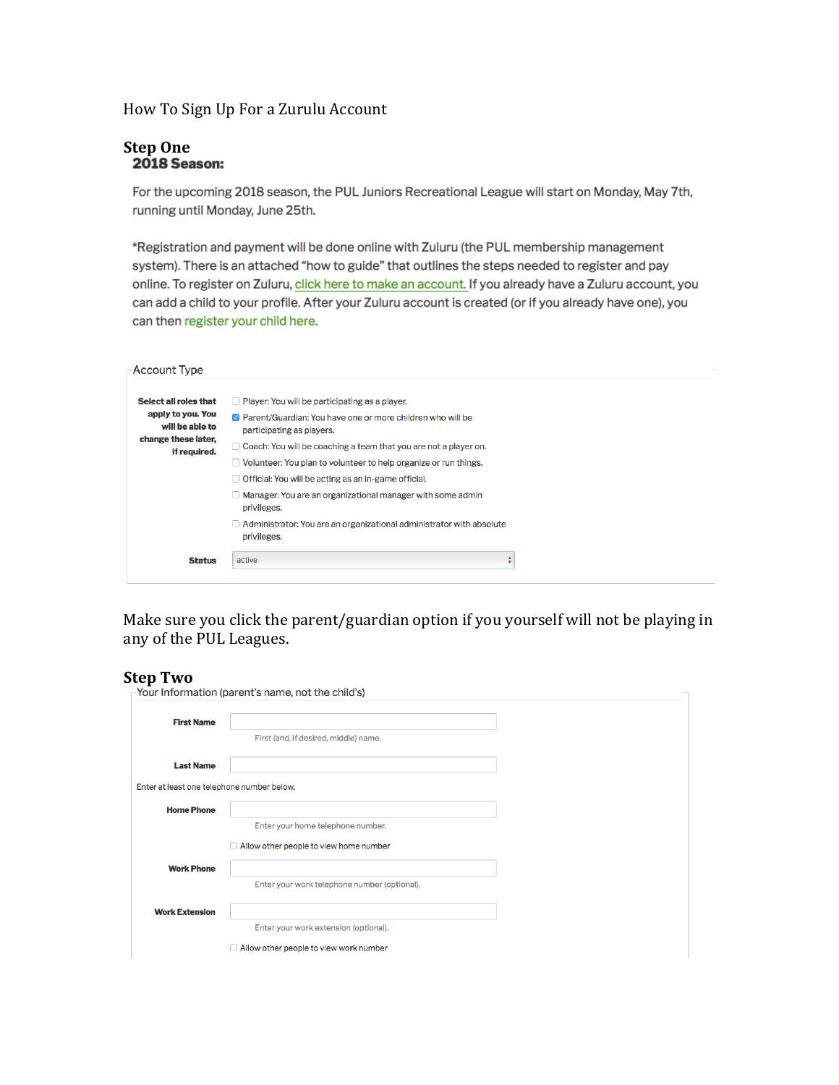## How To Sign Up For a Zurulu Account

# **Step One**<br>**2018 Season:**

For the upcoming 2018 season, the PUL Juniors Recreational League will start on Monday, May 7th, running until Monday, June 25th.

\*Registration and payment will be done online with Zuluru (the PUL membership management system). There is an attached "how to guide" that outlines the steps needed to register and pay online. To register on Zuluru, click here to make an account. If you already have a Zuluru account, you can add a child to your profile. After your Zuluru account is created (or if you already have one), you can then register your child here.

#### -Account Type

| Select all roles that                                                       | $\Box$ Player: You will be participating as a player.                                     |
|-----------------------------------------------------------------------------|-------------------------------------------------------------------------------------------|
| apply to you. You<br>will be able to<br>change these later,<br>if required. | ☑ Parent/Guardian: You have one or more children who will be<br>participating as players. |
|                                                                             | Coach: You will be coaching a team that you are not a player on.                          |
|                                                                             | $\Box$ Volunteer: You plan to volunteer to help organize or run things.                   |
|                                                                             | Official: You will be acting as an in-game official.                                      |
|                                                                             | Manager: You are an organizational manager with some admin<br>privileges.                 |
|                                                                             | Administrator: You are an organizational administrator with absolute<br>privileges.       |
| <b>Status</b>                                                               | active<br>⊋                                                                               |

Make sure you click the parent/guardian option if you yourself will not be playing in any of the PUL Leagues.

# **Step Two**

| JLLP I II V                                | Your Information (parent's name, not the child's) |  |
|--------------------------------------------|---------------------------------------------------|--|
| <b>First Name</b>                          |                                                   |  |
|                                            | First (and, if desired, middle) name.             |  |
| <b>Last Name</b>                           |                                                   |  |
| Enter at least one telephone number below. |                                                   |  |
| <b>Home Phone</b>                          |                                                   |  |
|                                            | Enter your home telephone number.                 |  |
|                                            | Allow other people to view home number            |  |
| <b>Work Phone</b>                          |                                                   |  |
|                                            | Enter your work telephone number (optional).      |  |
| <b>Work Extension</b>                      |                                                   |  |
|                                            | Enter your work extension (optional).             |  |
|                                            | Allow other people to view work number            |  |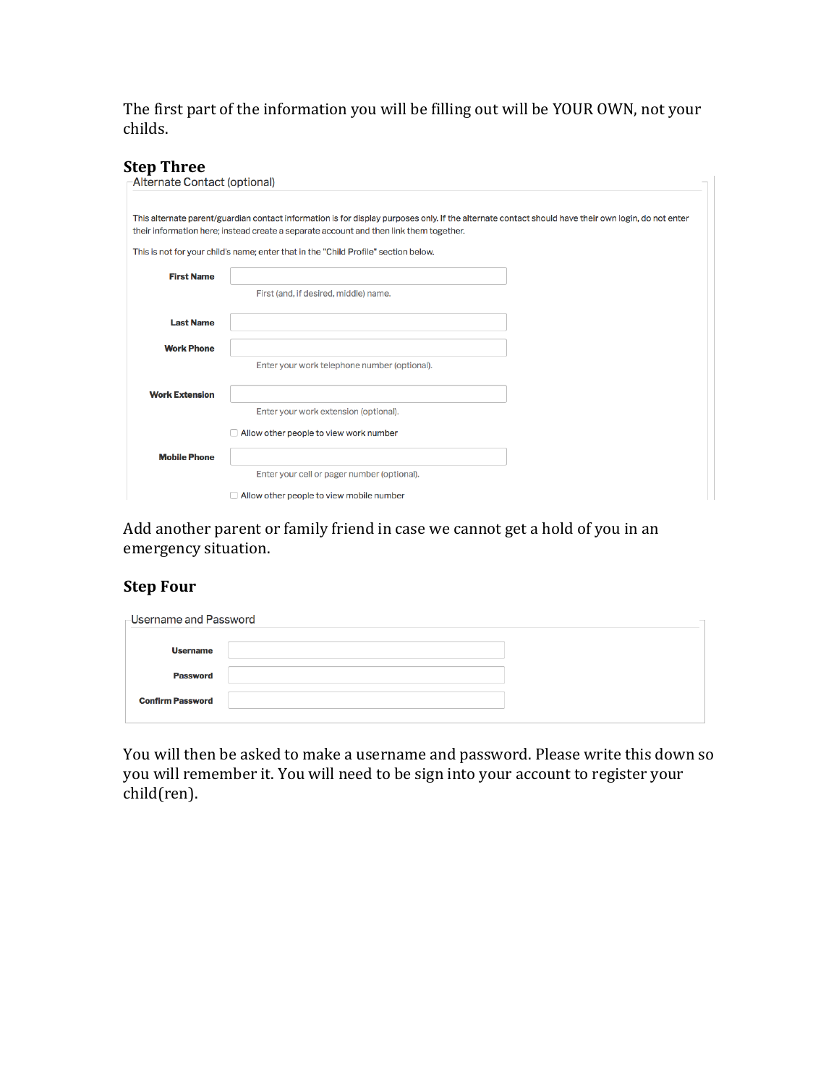The first part of the information you will be filling out will be YOUR OWN, not your childs.

## **Step Three**

| Alternate Contact (optional) |                                                                                                                                                                                                                                                                                                                                      |
|------------------------------|--------------------------------------------------------------------------------------------------------------------------------------------------------------------------------------------------------------------------------------------------------------------------------------------------------------------------------------|
|                              | This alternate parent/guardian contact information is for display purposes only. If the alternate contact should have their own login, do not enter<br>their information here; instead create a separate account and then link them together.<br>This is not for your child's name; enter that in the "Child Profile" section below. |
| <b>First Name</b>            |                                                                                                                                                                                                                                                                                                                                      |
|                              | First (and, if desired, middle) name.                                                                                                                                                                                                                                                                                                |
| <b>Last Name</b>             |                                                                                                                                                                                                                                                                                                                                      |
| <b>Work Phone</b>            |                                                                                                                                                                                                                                                                                                                                      |
|                              | Enter your work telephone number (optional).                                                                                                                                                                                                                                                                                         |
| <b>Work Extension</b>        |                                                                                                                                                                                                                                                                                                                                      |
|                              | Enter your work extension (optional).                                                                                                                                                                                                                                                                                                |
|                              | $\Box$ Allow other people to view work number                                                                                                                                                                                                                                                                                        |
| <b>Mobile Phone</b>          |                                                                                                                                                                                                                                                                                                                                      |
|                              | Enter your cell or pager number (optional).                                                                                                                                                                                                                                                                                          |
|                              | $\Box$ Allow other people to view mobile number                                                                                                                                                                                                                                                                                      |

Add another parent or family friend in case we cannot get a hold of you in an emergency situation.

## **Step Four**

| -Username and Password  |  |
|-------------------------|--|
| <b>Username</b>         |  |
| <b>Password</b>         |  |
| <b>Confirm Password</b> |  |
|                         |  |

You will then be asked to make a username and password. Please write this down so you will remember it. You will need to be sign into your account to register your child(ren).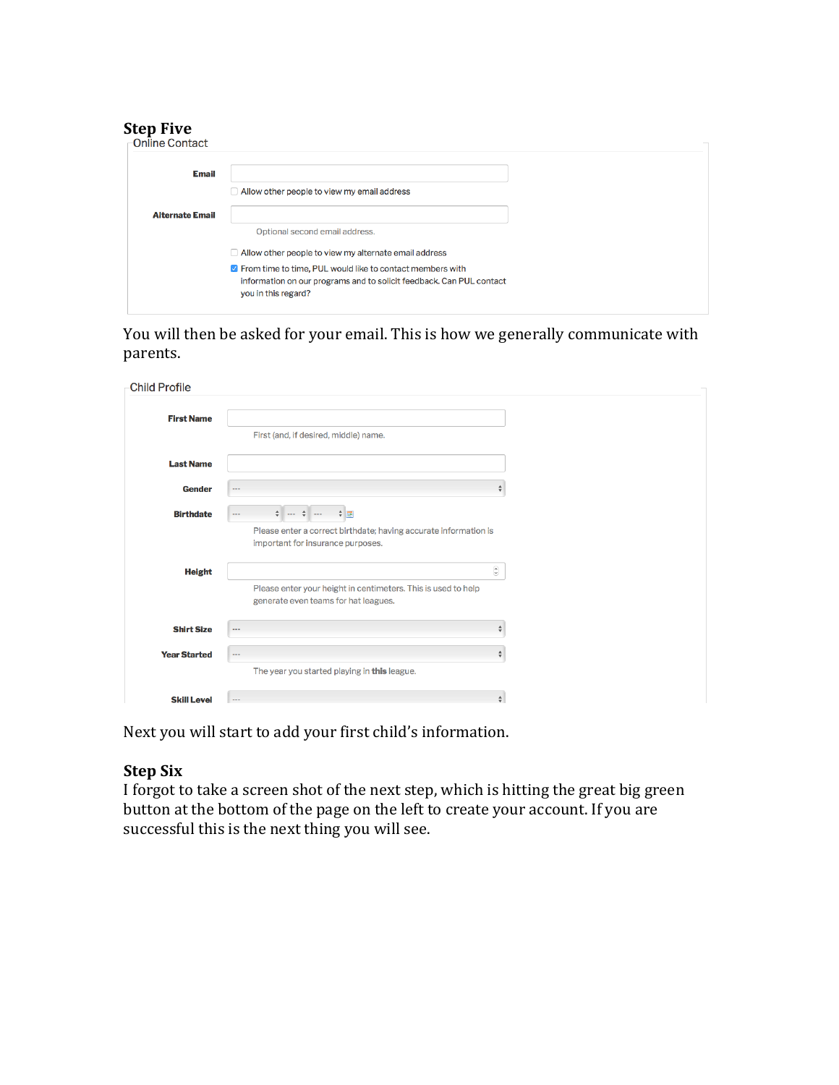# **Step Five**

| -Online Contact        |                                                                                                                                                                   |  |
|------------------------|-------------------------------------------------------------------------------------------------------------------------------------------------------------------|--|
| <b>Email</b>           |                                                                                                                                                                   |  |
|                        | $\Box$ Allow other people to view my email address                                                                                                                |  |
| <b>Alternate Email</b> |                                                                                                                                                                   |  |
|                        | Optional second email address.                                                                                                                                    |  |
|                        | Allow other people to view my alternate email address                                                                                                             |  |
|                        | <b>7</b> From time to time, PUL would like to contact members with<br>information on our programs and to solicit feedback. Can PUL contact<br>you in this regard? |  |

You will then be asked for your email. This is how we generally communicate with parents.

| <b>Child Profile</b> |                                                                                                                                                                         |
|----------------------|-------------------------------------------------------------------------------------------------------------------------------------------------------------------------|
| <b>First Name</b>    | First (and, if desired, middle) name.                                                                                                                                   |
| <b>Last Name</b>     |                                                                                                                                                                         |
| <b>Gender</b>        | $\sim$ $\sim$                                                                                                                                                           |
| <b>Birthdate</b>     | $\frac{1}{2}$ $\frac{1}{2}$<br>$\frac{1}{\sqrt{2}}$<br>$- - -$<br>Please enter a correct birthdate; having accurate information is<br>important for insurance purposes. |
| <b>Height</b>        | $\hat{\boldsymbol{\omega}}$<br>Please enter your height in centimeters. This is used to help<br>generate even teams for hat leagues.                                    |
| <b>Shirt Size</b>    | ÷<br>$\sim$ $\sim$ $\sim$                                                                                                                                               |
| <b>Year Started</b>  | $\frac{\Delta}{\Psi}$<br>$- - -$<br>The year you started playing in this league.                                                                                        |
| <b>Skill Level</b>   | $\div$<br>$\sim$ $\sim$                                                                                                                                                 |

Next you will start to add your first child's information.

## **Step Six**

I forgot to take a screen shot of the next step, which is hitting the great big green button at the bottom of the page on the left to create your account. If you are successful this is the next thing you will see.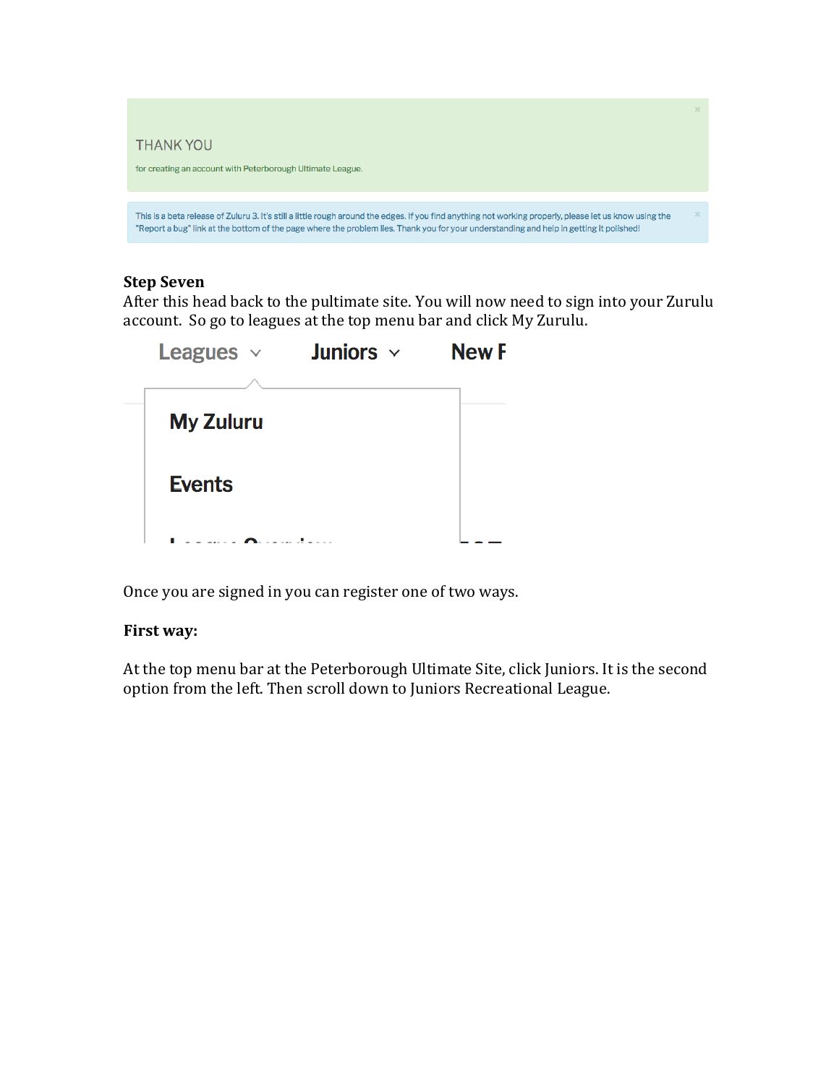

# **Step Seven**

After this head back to the pultimate site. You will now need to sign into your Zurulu account. So go to leagues at the top menu bar and click My Zurulu.

| <b>Leagues</b> $\vee$ | Juniors $\sim$ | <b>New F</b> |
|-----------------------|----------------|--------------|
| <b>My Zuluru</b>      |                |              |
| <b>Events</b>         |                |              |
|                       |                |              |

Once you are signed in you can register one of two ways.

## **First way:**

At the top menu bar at the Peterborough Ultimate Site, click Juniors. It is the second option from the left. Then scroll down to Juniors Recreational League.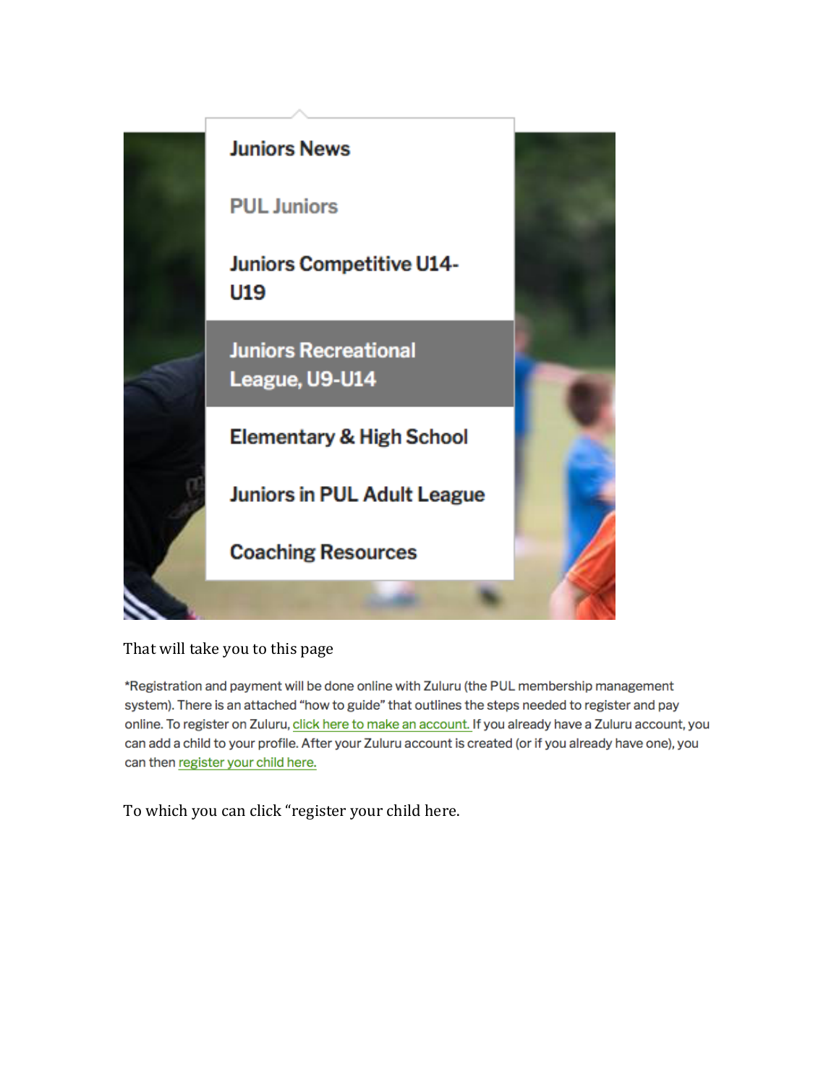

# That will take you to this page

\*Registration and payment will be done online with Zuluru (the PUL membership management system). There is an attached "how to guide" that outlines the steps needed to register and pay online. To register on Zuluru, click here to make an account. If you already have a Zuluru account, you can add a child to your profile. After your Zuluru account is created (or if you already have one), you can then register your child here.

To which you can click "register your child here.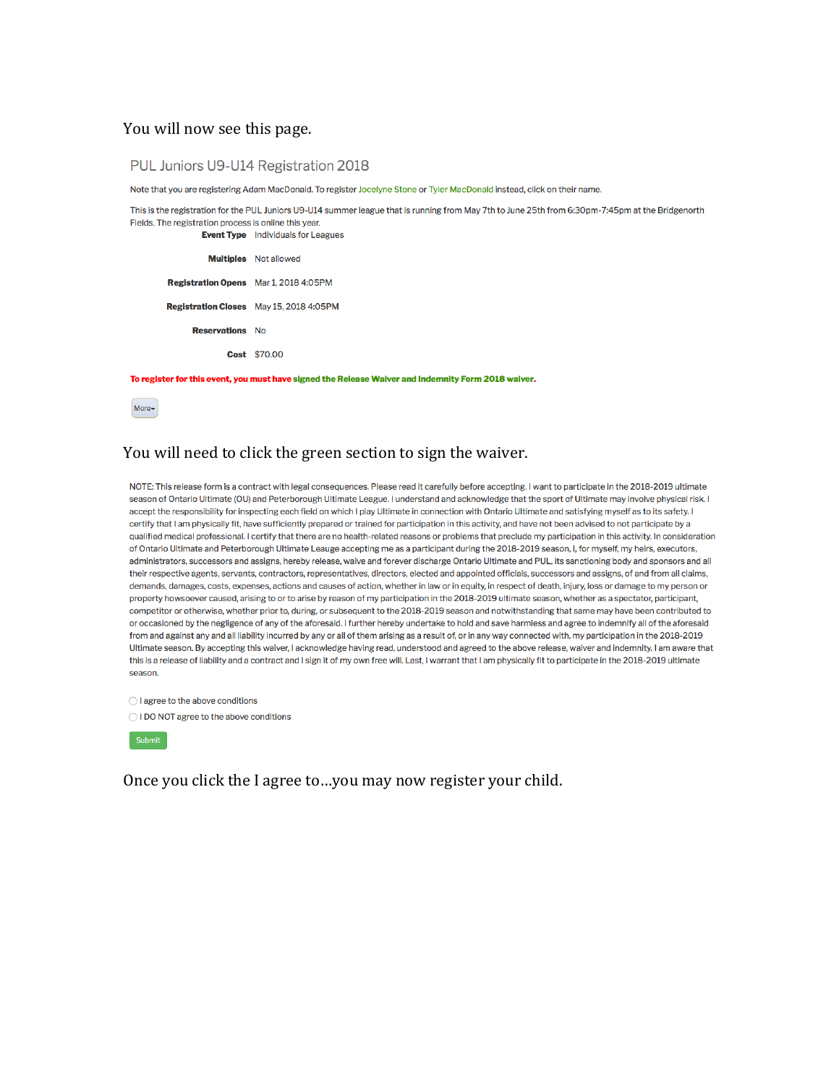#### You will now see this page.

PUL Juniors U9-U14 Registration 2018

Note that you are registering Adam MacDonald. To register Jocelyne Stone or Tyler MacDonald instead, click on their name.

This is the registration for the PUL Juniors U9-U14 summer league that is running from May 7th to June 25th from 6:30pm-7:45pm at the Bridgenorth Fields. The registration process is online this year.

**Multiples** Not allowed Registration Opens Mar 1, 2018 4:05PM Registration Closes May 15, 2018 4:05PM **Reservations** No Cost \$70.00

**Event Type** Individuals for Leagues

To register for this event, you must have signed the Release Waiver and Indemnity Form 2018 waiver.

 $More*$ 

### You will need to click the green section to sign the waiver.

NOTE: This release form is a contract with legal consequences. Please read it carefully before accepting. I want to participate in the 2018-2019 ultimate season of Ontario Ultimate (OU) and Peterborough Ultimate League. I understand and acknowledge that the sport of Ultimate may involve physical risk. I accept the responsibility for inspecting each field on which I play Ultimate in connection with Ontario Ultimate and satisfying myself as to its safety. I certify that I am physically fit, have sufficiently prepared or trained for participation in this activity, and have not been advised to not participate by a qualified medical professional. I certify that there are no health-related reasons or problems that preclude my participation in this activity. In consideration of Ontario Ultimate and Peterborough Ultimate Leauge accepting me as a participant during the 2018-2019 season, I, for myself, my heirs, executors, administrators, successors and assigns, hereby release, waive and forever discharge Ontario Ultimate and PUL, its sanctioning body and sponsors and all their respective agents, servants, contractors, representatives, directors, elected and appointed officials, successors and assigns, of and from all claims. demands, damages, costs, expenses, actions and causes of action, whether in law or in equity, in respect of death, injury, loss or damage to my person or property howsoever caused, arising to or to arise by reason of my participation in the 2018-2019 ultimate season, whether as a spectator, participant, competitor or otherwise, whether prior to, during, or subsequent to the 2018-2019 season and notwithstanding that same may have been contributed to or occasioned by the negligence of any of the aforesaid. I further hereby undertake to hold and save harmless and agree to indemnify all of the aforesaid from and against any and all liability incurred by any or all of them arising as a result of, or in any way connected with, my participation in the 2018-2019 Ultimate season. By accepting this waiver, I acknowledge having read, understood and agreed to the above release, waiver and indemnity. I am aware that this is a release of liability and a contract and I sign it of my own free will. Last. I warrant that I am physically fit to participate in the 2018-2019 ultimate season.

◯ I agree to the above conditions

O I DO NOT agree to the above conditions



Once you click the I agree to...you may now register your child.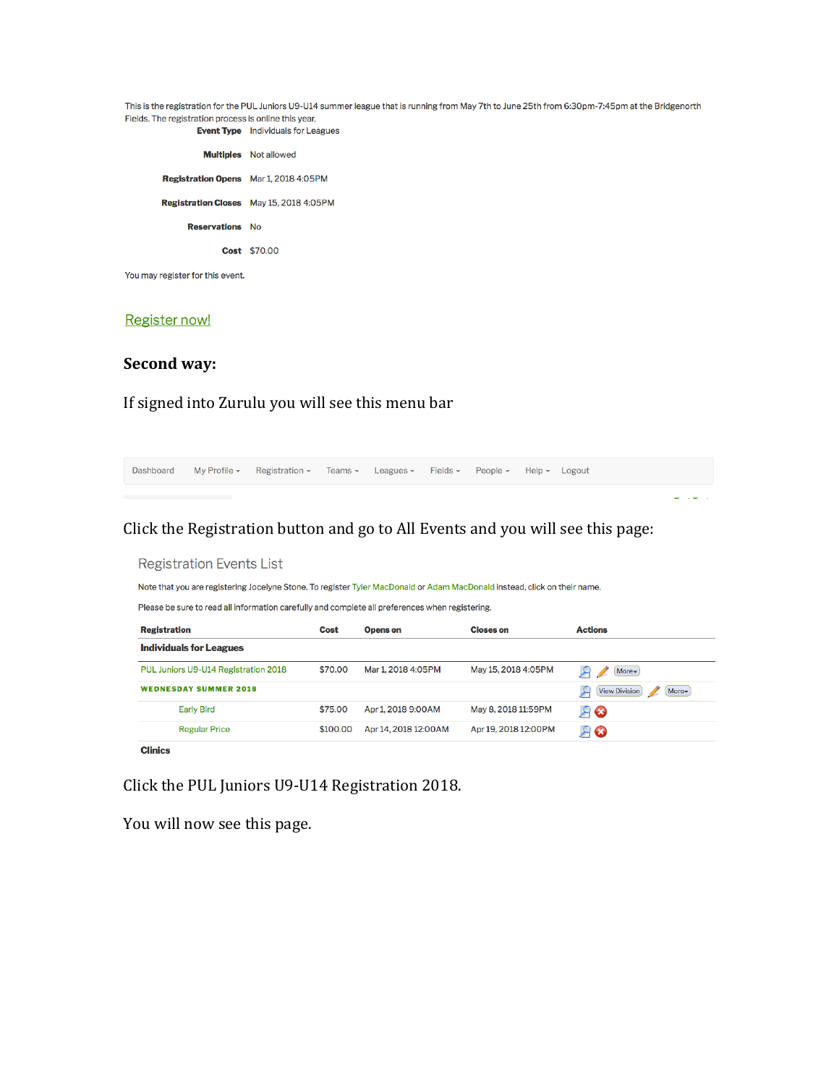This is the registration for the PUL Juniors U9-U14 summer league that is running from May 7th to June 25th from 6:30pm-7:45pm at the Bridgenorth Fields. The registration process is online this year. **Event Type** Individuals for Leagues

|                                              | <b>Multiples</b> Not allowed                   |
|----------------------------------------------|------------------------------------------------|
| <b>Registration Opens</b> Mar 1, 2018 4:05PM |                                                |
|                                              | <b>Registration Closes</b> May 15, 2018 4:05PM |
| <b>Reservations</b> No                       |                                                |
|                                              | <b>Cost \$70.00</b>                            |
|                                              |                                                |

You may register for this event.

#### **Register now!**

#### **Second way:**

If signed into Zurulu you will see this menu bar



Click the PUL Juniors U9-U14 Registration 2018.

You will now see this page.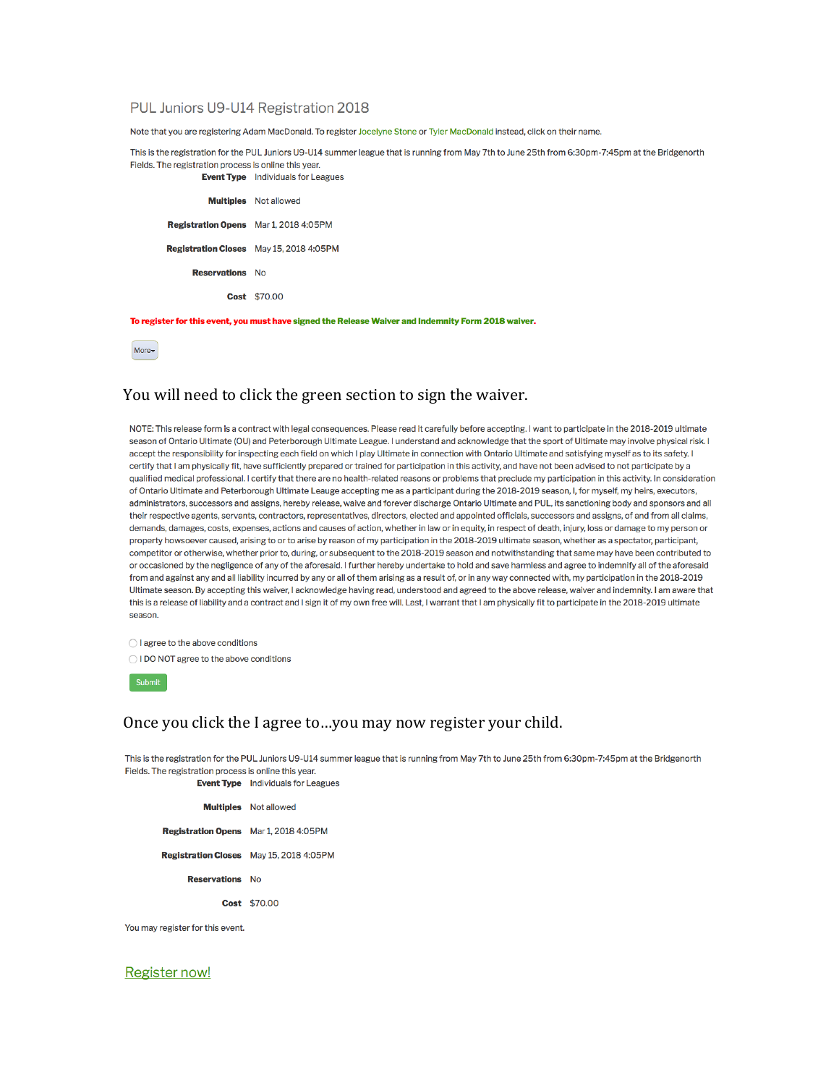#### PUL Juniors U9-U14 Registration 2018

Note that you are registering Adam MacDonald. To register Jocelyne Stone or Tyler MacDonald instead, click on their name.

This is the registration for the PUL Juniors U9-U14 summer league that is running from May 7th to June 25th from 6:30pm-7:45pm at the Bridgenorth Fields. The registration process is online this year. **Event Type** Individuals for Leagues

**Multiples** Not allowed Registration Opens Mar 1, 2018 4:05PM Registration Closes May 15, 2018 4:05PM **Reservations** No Cost \$70.00

To register for this event, you must have signed the Release Waiver and Indemnity Form 2018 waiver.

More<sub>v</sub>

#### You will need to click the green section to sign the waiver.

NOTE: This release form is a contract with legal consequences. Please read it carefully before accepting. I want to participate in the 2018-2019 ultimate season of Ontario Ultimate (OU) and Peterborough Ultimate League. I understand and acknowledge that the sport of Ultimate may involve physical risk. I accept the responsibility for inspecting each field on which I play Ultimate in connection with Ontario Ultimate and satisfying myself as to its safety. I certify that I am physically fit, have sufficiently prepared or trained for participation in this activity, and have not been advised to not participate by a qualified medical professional. I certify that there are no health-related reasons or problems that preclude my participation in this activity. In consideration of Ontario Ultimate and Peterborough Ultimate Leauge accepting me as a participant during the 2018-2019 season, I, for myself, my heirs, executors, administrators, successors and assigns, hereby release, waive and forever discharge Ontario Ultimate and PUL, its sanctioning body and sponsors and all their respective agents, servants, contractors, representatives, directors, elected and appointed officials, successors and assigns, of and from all claims, demands, damages, costs, expenses, actions and causes of action, whether in law or in equity, in respect of death, injury, loss or damage to my person or property howsoever caused, arising to or to arise by reason of my participation in the 2018-2019 ultimate season, whether as a spectator, participant, competitor or otherwise, whether prior to, during, or subsequent to the 2018-2019 season and notwithstanding that same may have been contributed to or occasioned by the negligence of any of the aforesaid. I further hereby undertake to hold and save harmless and agree to indemnify all of the aforesaid from and against any and all liability incurred by any or all of them arising as a result of, or in any way connected with, my participation in the 2018-2019 Ultimate season. By accepting this waiver, I acknowledge having read, understood and agreed to the above release, waiver and indemnity. I am aware that this is a release of liability and a contract and I sign it of my own free will. Last, I warrant that I am physically fit to participate in the 2018-2019 ultimate season.

 $\bigcirc$  I agree to the above conditions

O I DO NOT agree to the above conditions

Submit

#### Once you click the I agree to...you may now register your child.

This is the registration for the PUL Juniors U9-U14 summer league that is running from May 7th to June 25th from 6:30pm-7:45pm at the Bridgenorth Fields. The registration process is online this year.

**Event Type** Individuals for Leagues

|                                              | <b>Multiples</b> Not allowed                   |
|----------------------------------------------|------------------------------------------------|
| <b>Registration Opens</b> Mar 1, 2018 4:05PM |                                                |
|                                              | <b>Registration Closes</b> May 15, 2018 4:05PM |
| <b>Reservations</b> No                       |                                                |
|                                              | <b>Cost \$70.00</b>                            |

You may register for this event.

#### **Register now!**